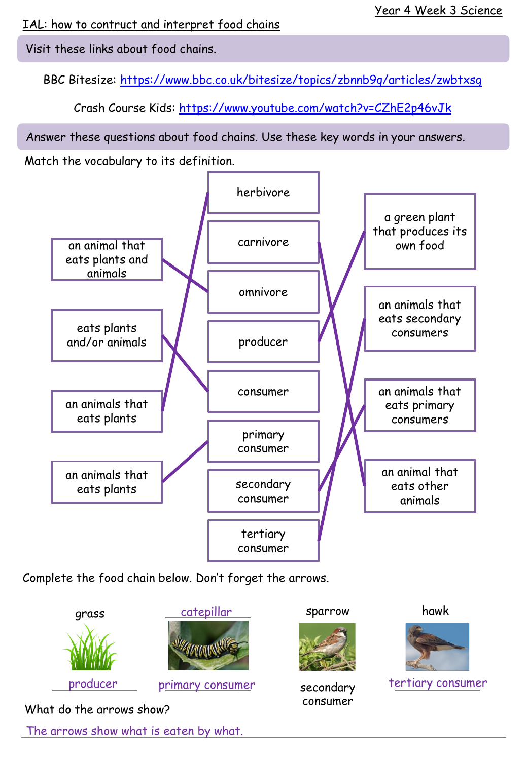IAL: how to contruct and interpret food chains

Visit these links about food chains.

BBC Bitesize:<https://www.bbc.co.uk/bitesize/topics/zbnnb9q/articles/zwbtxsg>

Crash Course Kids: <https://www.youtube.com/watch?v=CZhE2p46vJk>

Answer these questions about food chains. Use these key words in your answers.

Match the vocabulary to its definition.



Complete the food chain below. Don't forget the arrows.



The arrows show what is eaten by what.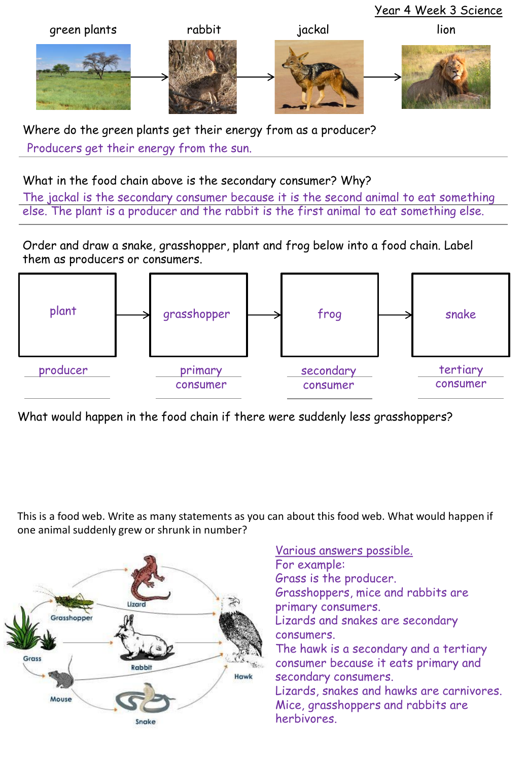

Where do the green plants get their energy from as a producer? Producers get their energy from the sun.

## What in the food chain above is the secondary consumer? Why?

The jackal is the secondary consumer because it is the second animal to eat something else. The plant is a producer and the rabbit is the first animal to eat something else.

Order and draw a snake, grasshopper, plant and frog below into a food chain. Label them as producers or consumers.



What would happen in the food chain if there were suddenly less grasshoppers?

This is a food web. Write as many statements as you can about this food web. What would happen if one animal suddenly grew or shrunk in number?



Various answers possible. For example: Grass is the producer. Grasshoppers, mice and rabbits are primary consumers. Lizards and snakes are secondary consumers. The hawk is a secondary and a tertiary consumer because it eats primary and secondary consumers. Lizards, snakes and hawks are carnivores. Mice, grasshoppers and rabbits are herbivores.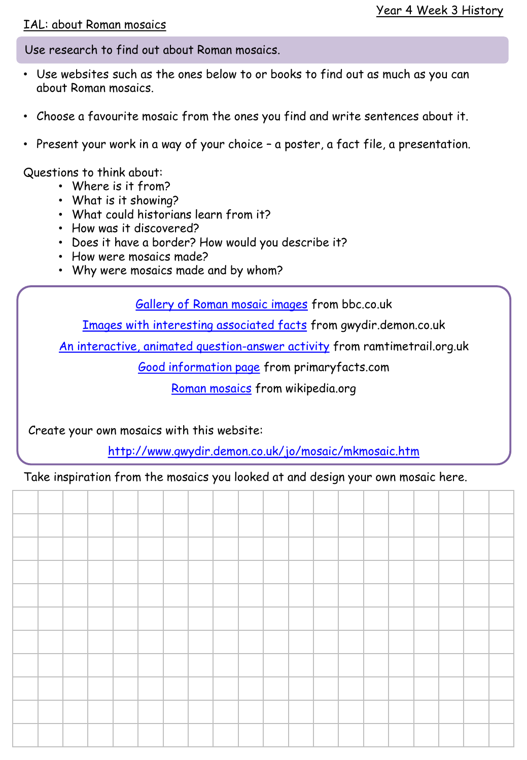## IAL: about Roman mosaics

Use research to find out about Roman mosaics.

- Use websites such as the ones below to or books to find out as much as you can about Roman mosaics.
- Choose a favourite mosaic from the ones you find and write sentences about it.
- Present your work in a way of your choice a poster, a fact file, a presentation.

Questions to think about:

- Where is it from?
- What is it showing?
- What could historians learn from it?
- How was it discovered?
- Does it have a border? How would you describe it?
- How were mosaics made?
- Why were mosaics made and by whom?

[Gallery of Roman mosaic images](https://www.bbc.co.uk/history/ancient/romans/mosaics_gallery.shtml) from bbc.co.uk

[Images with interesting associated facts](http://www.gwydir.demon.co.uk/jo/mosaic/mkmosaic.htm) from gwydir.demon.co.uk

[An interactive, animated question-answer activity](https://www.rammtimetrail.org.uk/mosaic/) from ramtimetrail.org.uk

[Good information page](http://primaryfacts.com/3577/roman-mosaics-facts-and-information) from primaryfacts.com

[Roman mosaics](https://en.wikipedia.org/wiki/Roman_mosaic) from wikipedia.org

Create your own mosaics with this website:

<http://www.gwydir.demon.co.uk/jo/mosaic/mkmosaic.htm>

Take inspiration from the mosaics you looked at and design your own mosaic here.